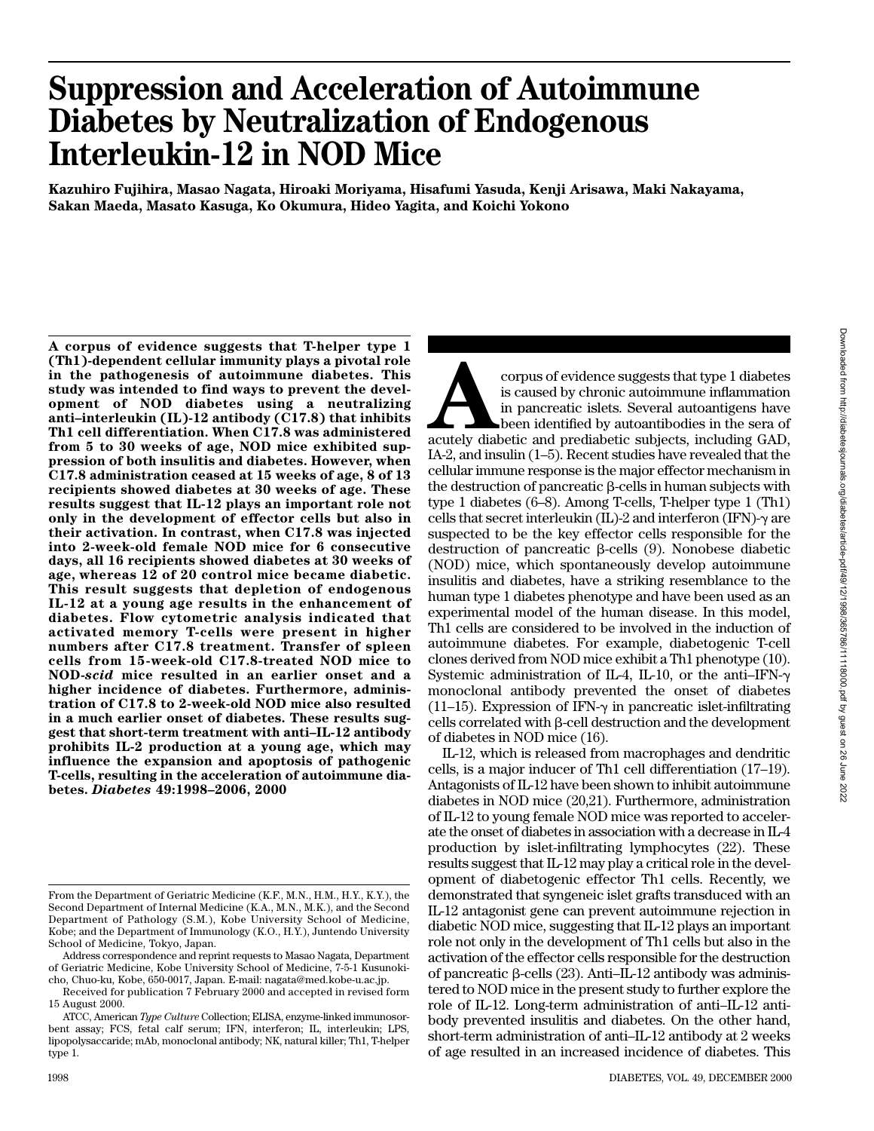# **Suppression and Acceleration of Autoimmune Diabetes by Neutralization of Endogenous Interleukin-12 in NOD Mice**

**Kazuhiro Fujihira, Masao Nagata, Hiroaki Moriyama, Hisafumi Yasuda, Kenji Arisawa, Maki Nakayama, Sakan Maeda, Masato Kasuga, Ko Okumura, Hideo Yagita, and Koichi Yokono**

**A corpus of evidence suggests that T-helper type 1 (Th1)-dependent cellular immunity plays a pivotal role in the pathogenesis of autoimmune diabetes. This study was intended to find ways to prevent the development of NOD diabetes using a neutralizing anti–interleukin (IL)-12 antibody (C17.8) that inhibits Th1 cell differentiation. When C17.8 was administered from 5 to 30 weeks of age, NOD mice exhibited suppression of both insulitis and diabetes. However, when C17.8 administration ceased at 15 weeks of age, 8 of 13 recipients showed diabetes at 30 weeks of age. These results suggest that IL-12 plays an important role not only in the development of effector cells but also in their activation. In contrast, when C17.8 was injected into 2-week-old female NOD mice for 6 consecutive days, all 16 recipients showed diabetes at 30 weeks of age, whereas 12 of 20 control mice became diabetic. This result suggests that depletion of endogenous IL-12 at a young age results in the enhancement of diabetes. Flow cytometric analysis indicated that activated memory T-cells were present in higher numbers after C17.8 treatment. Transfer of spleen cells from 15-week-old C17.8-treated NOD mice to NOD-***scid* **mice resulted in an earlier onset and a higher incidence of diabetes. Furthermore, administration of C17.8 to 2-week-old NOD mice also resulted in a much earlier onset of diabetes. These results suggest that short-term treatment with anti–IL-12 antibody prohibits IL-2 production at a young age, which may influence the expansion and apoptosis of pathogenic T-cells, resulting in the acceleration of autoimmune diabetes.** *Diabetes* **49:1998–2006, 2000**

**Accords** accorpus of evidence suggests that type 1 diabetes<br>
is caused by chronic autoimmune inflammation<br>
in pancreatic islets. Several autoantigens have<br>
been identified by autoantibodies in the sera of<br>
acutely diabeti is caused by chronic autoimmune inflammation in pancreatic islets. Several autoantigens have been identified by autoantibodies in the sera of IA-2, and insulin (1–5). Recent studies have revealed that the cellular immune response is the major effector mechanism in the destruction of pancreatic  $\beta$ -cells in human subjects with type 1 diabetes (6–8). Among T-cells, T-helper type 1 (Th1) cells that secret interleukin  $(IL)$ -2 and interferon  $(IFN)$ - $\gamma$  are suspected to be the key effector cells responsible for the destruction of pancreatic  $\beta$ -cells (9). Nonobese diabetic (NOD) mice, which spontaneously develop autoimmune insulitis and diabetes, have a striking resemblance to the human type 1 diabetes phenotype and have been used as an experimental model of the human disease. In this model, Th1 cells are considered to be involved in the induction of autoimmune diabetes. For example, diabetogenic T-cell clones derived from NOD mice exhibit a Th1 phenotype (10). Systemic administration of IL-4, IL-10, or the anti-IFN- $\gamma$ monoclonal antibody prevented the onset of diabetes (11–15). Expression of IFN- $\gamma$  in pancreatic islet-infiltrating  $\c{cells}$  correlated with  $\beta$ -cell destruction and the development of diabetes in NOD mice (16).

IL-12, which is released from macrophages and dendritic cells, is a major inducer of Th1 cell differentiation (17–19). Antagonists of IL-12 have been shown to inhibit autoimmune diabetes in NOD mice (20,21). Furthermore, administration of IL-12 to young female NOD mice was reported to accelerate the onset of diabetes in association with a decrease in IL-4 production by islet-infiltrating lymphocytes (22). These results suggest that IL-12 may play a critical role in the development of diabetogenic effector Th1 cells. Recently, we demonstrated that syngeneic islet grafts transduced with an IL-12 antagonist gene can prevent autoimmune rejection in diabetic NOD mice, suggesting that IL-12 plays an important role not only in the development of Th1 cells but also in the activation of the effector cells responsible for the destruction of pancreatic  $\beta$ -cells (23). Anti-IL-12 antibody was administered to NOD mice in the present study to further explore the role of IL-12. Long-term administration of anti–IL-12 antibody prevented insulitis and diabetes. On the other hand, short-term administration of anti–IL-12 antibody at 2 weeks of age resulted in an increased incidence of diabetes. This

From the Department of Geriatric Medicine (K.F., M.N., H.M., H.Y., K.Y.), the Second Department of Internal Medicine (K.A., M.N., M.K.), and the Second Department of Pathology (S.M.), Kobe University School of Medicine, Kobe; and the Department of Immunology (K.O., H.Y.), Juntendo University School of Medicine, Tokyo, Japan.

Address correspondence and reprint requests to Masao Nagata, Department of Geriatric Medicine, Kobe University School of Medicine, 7-5-1 Kusunokicho, Chuo-ku, Kobe, 650-0017, Japan. E-mail: nagata@med.kobe-u.ac.jp.

Received for publication 7 February 2000 and accepted in revised form 15 August 2000.

ATCC, American *Type Culture* Collection; ELISA, enzyme-linked immunosorbent assay; FCS, fetal calf serum; IFN, interferon; IL, interleukin; LPS, lipopolysaccaride; mAb, monoclonal antibody; NK, natural killer; Th1, T-helper type 1.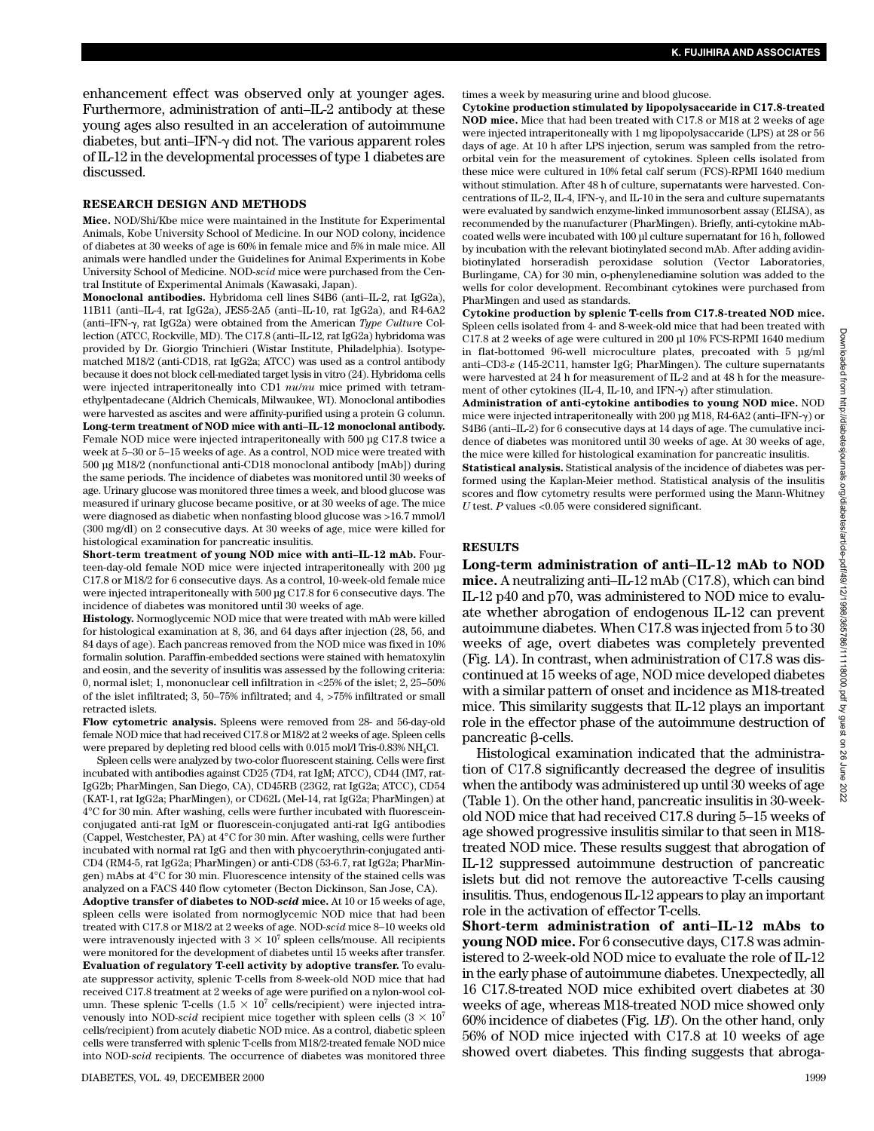enhancement effect was observed only at younger ages. Furthermore, administration of anti–IL-2 antibody at these young ages also resulted in an acceleration of autoimmune diabetes, but anti-IFN- $\gamma$  did not. The various apparent roles of IL-12 in the developmental processes of type 1 diabetes are discussed.

#### **RESEARCH DESIGN AND METHODS**

**Mice.** NOD/Shi/Kbe mice were maintained in the Institute for Experimental Animals, Kobe University School of Medicine. In our NOD colony, incidence of diabetes at 30 weeks of age is 60% in female mice and 5% in male mice. All animals were handled under the Guidelines for Animal Experiments in Kobe University School of Medicine. NOD-*scid* mice were purchased from the Central Institute of Experimental Animals (Kawasaki, Japan).

**Monoclonal antibodies.** Hybridoma cell lines S4B6 (anti–IL-2, rat IgG2a), 11B11 (anti–IL-4, rat IgG2a), JES5-2A5 (anti–IL-10, rat IgG2a), and R4-6A2 (anti-IFN-γ, rat IgG2a) were obtained from the American *Type Culture* Collection (ATCC, Rockville, MD). The C17.8 (anti–IL-12, rat IgG2a) hybridoma was provided by Dr. Giorgio Trinchieri (Wistar Institute, Philadelphia). Isotypematched M18/2 (anti-CD18, rat IgG2a; ATCC) was used as a control antibody because it does not block cell-mediated target lysis in vitro (24). Hybridoma cells were injected intraperitoneally into CD1 *nu*/*nu* mice primed with tetramethylpentadecane (Aldrich Chemicals, Milwaukee, WI). Monoclonal antibodies were harvested as ascites and were affinity-purified using a protein G column. **Long-term treatment of NOD mice with anti–IL-12 monoclonal antibody.** Female NOD mice were injected intraperitoneally with 500 µg C17.8 twice a week at 5–30 or 5–15 weeks of age. As a control, NOD mice were treated with 500 µg M18/2 (nonfunctional anti-CD18 monoclonal antibody [mAb]) during the same periods. The incidence of diabetes was monitored until 30 weeks of age. Urinary glucose was monitored three times a week, and blood glucose was measured if urinary glucose became positive, or at 30 weeks of age. The mice were diagnosed as diabetic when nonfasting blood glucose was >16.7 mmol/l (300 mg/dl) on 2 consecutive days. At 30 weeks of age, mice were killed for histological examination for pancreatic insulitis.

**Short-term treatment of young NOD mice with anti–IL-12 mAb.** Fourteen-day-old female NOD mice were injected intraperitoneally with 200 µg C17.8 or M18/2 for 6 consecutive days. As a control, 10-week-old female mice were injected intraperitoneally with 500 µg C17.8 for 6 consecutive days. The incidence of diabetes was monitored until 30 weeks of age.

**Histology.** Normoglycemic NOD mice that were treated with mAb were killed for histological examination at 8, 36, and 64 days after injection (28, 56, and 84 days of age). Each pancreas removed from the NOD mice was fixed in 10% formalin solution. Paraffin-embedded sections were stained with hematoxylin and eosin, and the severity of insulitis was assessed by the following criteria: 0, normal islet; 1, mononuclear cell infiltration in <25% of the islet; 2, 25–50% of the islet infiltrated; 3, 50–75% infiltrated; and 4, >75% infiltrated or small retracted islets.

**Flow cytometric analysis.** Spleens were removed from 28- and 56-day-old female NOD mice that had received C17.8 or M18/2 at 2 weeks of age. Spleen cells were prepared by depleting red blood cells with 0.015 mol/l Tris-0.83% NH.Cl.

Spleen cells were analyzed by two-color fluorescent staining. Cells were first incubated with antibodies against CD25 (7D4, rat IgM; ATCC), CD44 (IM7, rat-IgG2b; PharMingen, San Diego, CA), CD45RB (23G2, rat IgG2a; ATCC), CD54 (KAT-1, rat IgG2a; PharMingen), or CD62L (Mel-14, rat IgG2a; PharMingen) at 4°C for 30 min. After washing, cells were further incubated with fluoresceinconjugated anti-rat IgM or fluorescein-conjugated anti-rat IgG antibodies (Cappel, Westchester, PA) at 4°C for 30 min. After washing, cells were further incubated with normal rat IgG and then with phycoerythrin-conjugated anti-CD4 (RM4-5, rat IgG2a; PharMingen) or anti-CD8 (53-6.7, rat IgG2a; PharMingen) mAbs at 4°C for 30 min. Fluorescence intensity of the stained cells was analyzed on a FACS 440 flow cytometer (Becton Dickinson, San Jose, CA).

**Adoptive transfer of diabetes to NOD-***scid* **mice.** At 10 or 15 weeks of age, spleen cells were isolated from normoglycemic NOD mice that had been treated with C17.8 or M18/2 at 2 weeks of age. NOD-*scid* mice 8–10 weeks old were intravenously injected with  $3 \times 10^7$  spleen cells/mouse. All recipients were monitored for the development of diabetes until 15 weeks after transfer. **Evaluation of regulatory T-cell activity by adoptive transfer.** To evaluate suppressor activity, splenic T-cells from 8-week-old NOD mice that had received C17.8 treatment at 2 weeks of age were purified on a nylon-wool column. These splenic T-cells  $(1.5 \times 10^7 \text{ cells/recipient})$  were injected intravenously into NOD-*scid* recipient mice together with spleen cells  $(3 \times 10^7)$ cells/recipient) from acutely diabetic NOD mice. As a control, diabetic spleen cells were transferred with splenic T-cells from M18/2-treated female NOD mice into NOD-*scid* recipients. The occurrence of diabetes was monitored three

times a week by measuring urine and blood glucose.

**Cytokine production stimulated by lipopolysaccaride in C17.8-treated NOD mice.** Mice that had been treated with C17.8 or M18 at 2 weeks of age were injected intraperitoneally with 1 mg lipopolysaccaride (LPS) at 28 or 56 days of age. At 10 h after LPS injection, serum was sampled from the retroorbital vein for the measurement of cytokines. Spleen cells isolated from these mice were cultured in 10% fetal calf serum (FCS)-RPMI 1640 medium without stimulation. After 48 h of culture, supernatants were harvested. Concentrations of IL-2, IL-4, IFN- $\gamma$ , and IL-10 in the sera and culture supernatants were evaluated by sandwich enzyme-linked immunosorbent assay (ELISA), as recommended by the manufacturer (PharMingen). Briefly, anti-cytokine mAbcoated wells were incubated with 100 µl culture supernatant for 16 h, followed by incubation with the relevant biotinylated second mAb. After adding avidinbiotinylated horseradish peroxidase solution (Vector Laboratories, Burlingame, CA) for 30 min, o-phenylenediamine solution was added to the wells for color development. Recombinant cytokines were purchased from PharMingen and used as standards.

**Cytokine production by splenic T-cells from C17.8-treated NOD mice.** Spleen cells isolated from 4- and 8-week-old mice that had been treated with C17.8 at 2 weeks of age were cultured in 200 µl 10% FCS-RPMI 1640 medium in flat-bottomed 96-well microculture plates, precoated with 5 µg/ml anti–CD3- $\varepsilon$  (145-2C11, hamster IgG; PharMingen). The culture supernatants were harvested at 24 h for measurement of IL-2 and at 48 h for the measurement of other cytokines (IL-4, IL-10, and IFN- $\gamma$ ) after stimulation.

**Administration of anti-cytokine antibodies to young NOD mice.** NOD mice were injected intraperitoneally with 200 µg M18, R4-6A2 (anti-IFN- $\gamma$ ) or S4B6 (anti–IL-2) for 6 consecutive days at 14 days of age. The cumulative incidence of diabetes was monitored until 30 weeks of age. At 30 weeks of age, the mice were killed for histological examination for pancreatic insulitis.

**Statistical analysis.** Statistical analysis of the incidence of diabetes was performed using the Kaplan-Meier method. Statistical analysis of the insulitis scores and flow cytometry results were performed using the Mann-Whitney *U* test. *P* values <0.05 were considered significant.

#### **RESULTS**

**Long-term administration of anti–IL-12 mAb to NOD mice.** A neutralizing anti–IL-12 mAb (C17.8), which can bind IL-12 p40 and p70, was administered to NOD mice to evaluate whether abrogation of endogenous IL-12 can prevent autoimmune diabetes. When C17.8 was injected from 5 to 30 weeks of age, overt diabetes was completely prevented (Fig. 1*A*). In contrast, when administration of C17.8 was discontinued at 15 weeks of age, NOD mice developed diabetes with a similar pattern of onset and incidence as M18-treated mice. This similarity suggests that IL-12 plays an important role in the effector phase of the autoimmune destruction of pancreatic  $\beta$ -cells.

Histological examination indicated that the administration of C17.8 significantly decreased the degree of insulitis when the antibody was administered up until 30 weeks of age (Table 1). On the other hand, pancreatic insulitis in 30-weekold NOD mice that had received C17.8 during 5–15 weeks of age showed progressive insulitis similar to that seen in M18 treated NOD mice. These results suggest that abrogation of IL-12 suppressed autoimmune destruction of pancreatic islets but did not remove the autoreactive T-cells causing insulitis. Thus, endogenous IL-12 appears to play an important role in the activation of effector T-cells.

**Short-term administration of anti–IL-12 mAbs to young NOD mice.** For 6 consecutive days, C17.8 was administered to 2-week-old NOD mice to evaluate the role of IL-12 in the early phase of autoimmune diabetes. Unexpectedly, all 16 C17.8-treated NOD mice exhibited overt diabetes at 30 weeks of age, whereas M18-treated NOD mice showed only 60% incidence of diabetes (Fig. 1*B*). On the other hand, only 56% of NOD mice injected with C17.8 at 10 weeks of age showed overt diabetes. This finding suggests that abroga-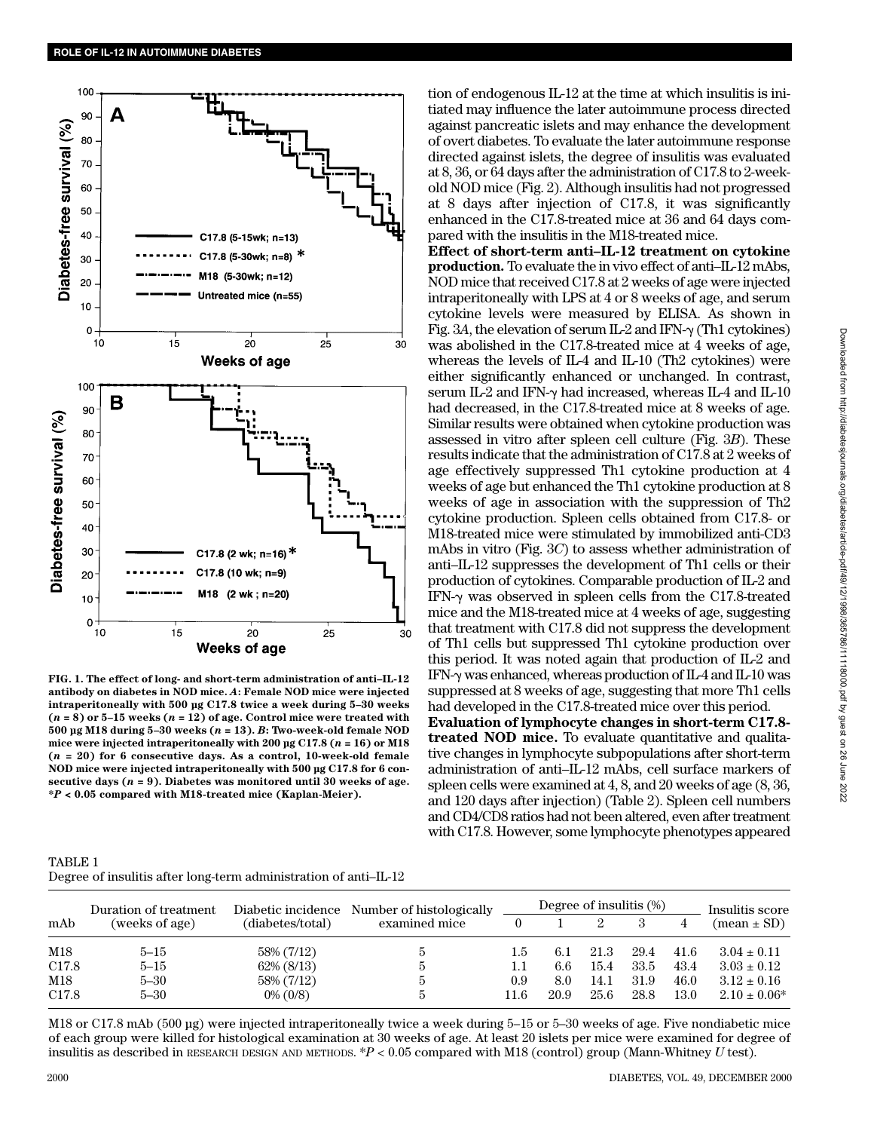

**FIG. 1. The effect of long- and short-term administration of anti–IL-12 antibody on diabetes in NOD mice.** *A***: Female NOD mice were injected intraperitoneally with 500 µg C17.8 twice a week during 5–30 weeks**  $(n = 8)$  or  $5-15$  weeks  $(n = 12)$  of age. Control mice were treated with **500 µg M18 during 5–30 weeks (***n* **= 13).** *B***: Two-week-old female NOD mice were injected intraperitoneally with 200 µg C17.8 (***n* **= 16) or M18 (***n* **= 20) for 6 consecutive days. As a control, 10-week-old female NOD mice were injected intraperitoneally with 500 µg C17.8 for 6 consecutive days (***n* **= 9). Diabetes was monitored until 30 weeks of age. \****P* **< 0.05 compared with M18-treated mice (Kaplan-Meier).**

tion of endogenous IL-12 at the time at which insulitis is initiated may influence the later autoimmune process directed against pancreatic islets and may enhance the development of overt diabetes. To evaluate the later autoimmune response directed against islets, the degree of insulitis was evaluated at 8, 36, or 64 days after the administration of C17.8 to 2-weekold NOD mice (Fig. 2). Although insulitis had not progressed at 8 days after injection of C17.8, it was significantly enhanced in the C17.8-treated mice at 36 and 64 days compared with the insulitis in the M18-treated mice.

**Effect of short-term anti–IL-12 treatment on cytokine production.** To evaluate the in vivo effect of anti–IL-12 mAbs, NOD mice that received C17.8 at 2 weeks of age were injected intraperitoneally with LPS at 4 or 8 weeks of age, and serum cytokine levels were measured by ELISA. As shown in Fig. 3A, the elevation of serum  $IL-2$  and  $IFN-\gamma$  (Th1 cytokines) was abolished in the C17.8-treated mice at 4 weeks of age, whereas the levels of IL-4 and IL-10 (Th2 cytokines) were either significantly enhanced or unchanged. In contrast, serum IL-2 and IFN- $\gamma$  had increased, whereas IL-4 and IL-10 had decreased, in the C17.8-treated mice at 8 weeks of age. Similar results were obtained when cytokine production was assessed in vitro after spleen cell culture (Fig. 3*B*). These results indicate that the administration of C17.8 at 2 weeks of age effectively suppressed Th1 cytokine production at 4 weeks of age but enhanced the Th1 cytokine production at 8 weeks of age in association with the suppression of Th2 cytokine production. Spleen cells obtained from C17.8- or M18-treated mice were stimulated by immobilized anti-CD3 mAbs in vitro (Fig. 3*C*) to assess whether administration of anti–IL-12 suppresses the development of Th1 cells or their production of cytokines. Comparable production of IL-2 and IFN- $\gamma$  was observed in spleen cells from the C17.8-treated mice and the M18-treated mice at 4 weeks of age, suggesting that treatment with C17.8 did not suppress the development of Th1 cells but suppressed Th1 cytokine production over this period. It was noted again that production of IL-2 and IFN- $\gamma$  was enhanced, whereas production of IL-4 and IL-10 was suppressed at 8 weeks of age, suggesting that more Th1 cells

had developed in the C17.8-treated mice over this period. **Evaluation of lymphocyte changes in short-term C17.8 treated NOD mice.** To evaluate quantitative and qualitative changes in lymphocyte subpopulations after short-term administration of anti–IL-12 mAbs, cell surface markers of spleen cells were examined at 4, 8, and 20 weeks of age (8, 36, and 120 days after injection) (Table 2). Spleen cell numbers and CD4/CD8 ratios had not been altered, even after treatment with C17.8. However, some lymphocyte phenotypes appeared

| TABLE 1 |  |                                                                  |  |
|---------|--|------------------------------------------------------------------|--|
|         |  | Degree of insulitis after long-term administration of anti-IL-12 |  |

|                   | Duration of treatment |                  | Diabetic incidence Number of histologically |      | Degree of insulitis (%) | Insulitis score |      |      |                   |  |
|-------------------|-----------------------|------------------|---------------------------------------------|------|-------------------------|-----------------|------|------|-------------------|--|
| mAb               | (weeks of age)        | (diabetes/total) | examined mice                               |      |                         |                 |      |      | $mean \pm SD$     |  |
| M18               | $5 - 15$              | 58% (7/12)       | $\mathcal{D}$                               | 1.5  | 6.1                     | 21.3            | 29.4 | 41.6 | $3.04 \pm 0.11$   |  |
| C <sub>17.8</sub> | $5 - 15$              | $62\% (8/13)$    | b.                                          | 1.1  | 6.6                     | 15.4            | 33.5 | 43.4 | $3.03 \pm 0.12$   |  |
| M18               | $5 - 30$              | 58% (7/12)       | b.                                          | 0.9  | 8.0                     | 14.1            | 31.9 | 46.0 | $3.12 \pm 0.16$   |  |
| C <sub>17.8</sub> | $5 - 30$              | $0\%$ (0/8)      | 5                                           | 11.6 | 20.9                    | 25.6            | 28.8 | 13.0 | $2.10 \pm 0.06^*$ |  |

M18 or C17.8 mAb (500 µg) were injected intraperitoneally twice a week during 5–15 or 5–30 weeks of age. Five nondiabetic mice of each group were killed for histological examination at 30 weeks of age. At least 20 islets per mice were examined for degree of insulitis as described in RESEARCH DESIGN AND METHODS. \**P* < 0.05 compared with M18 (control) group (Mann-Whitney *U* test).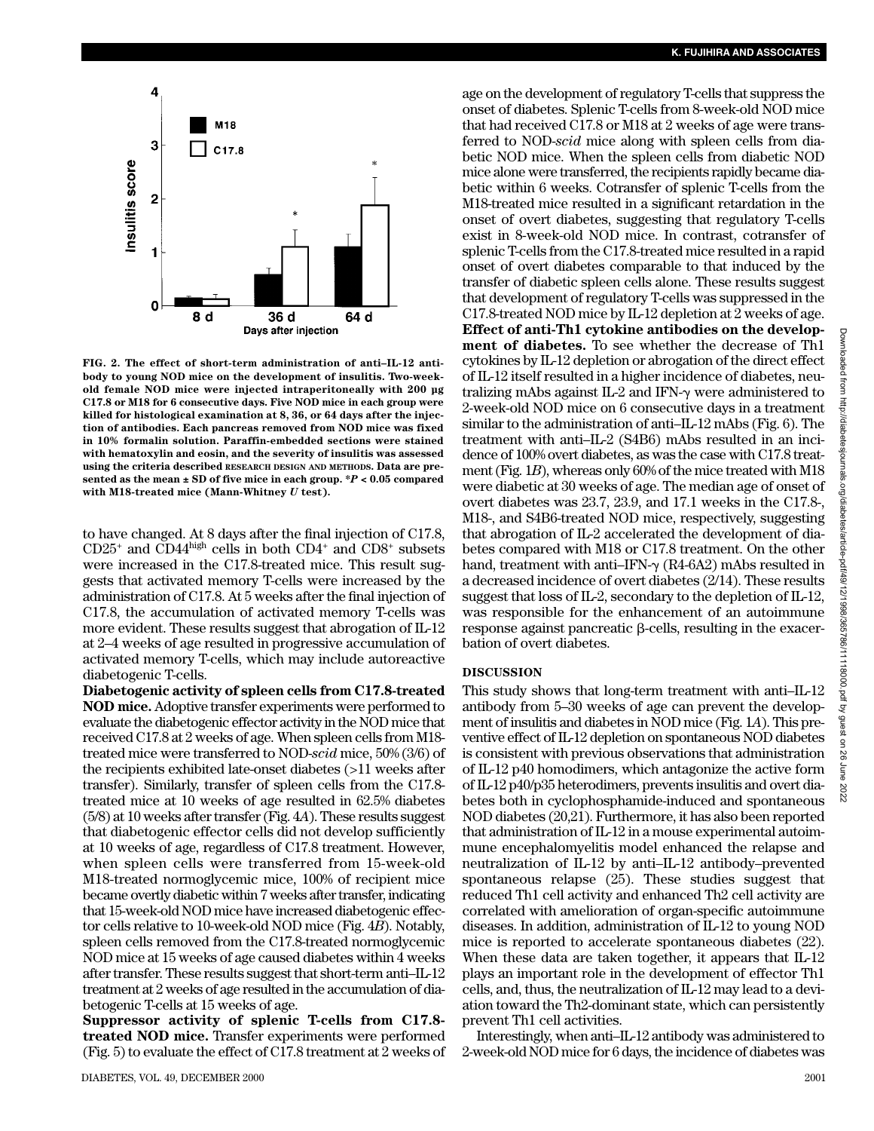

**FIG. 2. The effect of short-term administration of anti–IL-12 antibody to young NOD mice on the development of insulitis. Two-weekold female NOD mice were injected intraperitoneally with 200 µg C17.8 or M18 for 6 consecutive days. Five NOD mice in each group were killed for histological examination at 8, 36, or 64 days after the injection of antibodies. Each pancreas removed from NOD mice was fixed in 10% formalin solution. Paraffin-embedded sections were stained with hematoxylin and eosin, and the severity of insulitis was assessed using the criteria described RESEARCH DESIGN AND METHODS. Data are presented as the mean ± SD of five mice in each group. \****P* **< 0.05 compared with M18-treated mice (Mann-Whitney** *U* **test).**

to have changed. At 8 days after the final injection of C17.8,  $CD25<sup>+</sup>$  and  $CD4<sup>high</sup>$  cells in both  $CD4<sup>+</sup>$  and  $CD8<sup>+</sup>$  subsets were increased in the C17.8-treated mice. This result suggests that activated memory T-cells were increased by the administration of C17.8. At 5 weeks after the final injection of C17.8, the accumulation of activated memory T-cells was more evident. These results suggest that abrogation of IL-12 at 2–4 weeks of age resulted in progressive accumulation of activated memory T-cells, which may include autoreactive diabetogenic T-cells.

**Diabetogenic activity of spleen cells from C17.8-treated NOD mice.**Adoptive transfer experiments were performed to evaluate the diabetogenic effector activity in the NOD mice that received C17.8 at 2 weeks of age. When spleen cells from M18 treated mice were transferred to NOD-*scid* mice, 50% (3/6) of the recipients exhibited late-onset diabetes (>11 weeks after transfer). Similarly, transfer of spleen cells from the C17.8 treated mice at 10 weeks of age resulted in 62.5% diabetes (5/8) at 10 weeks after transfer (Fig. 4*A*). These results suggest that diabetogenic effector cells did not develop sufficiently at 10 weeks of age, regardless of C17.8 treatment. However, when spleen cells were transferred from 15-week-old M18-treated normoglycemic mice, 100% of recipient mice became overtly diabetic within 7 weeks after transfer, indicating that 15-week-old NOD mice have increased diabetogenic effector cells relative to 10-week-old NOD mice (Fig. 4*B*). Notably, spleen cells removed from the C17.8-treated normoglycemic NOD mice at 15 weeks of age caused diabetes within 4 weeks after transfer. These results suggest that short-term anti–IL-12 treatment at 2 weeks of age resulted in the accumulation of diabetogenic T-cells at 15 weeks of age.

**Suppressor activity of splenic T-cells from C17.8 treated NOD mice.** Transfer experiments were performed (Fig. 5) to evaluate the effect of C17.8 treatment at 2 weeks of

age on the development of regulatory T-cells that suppress the onset of diabetes. Splenic T-cells from 8-week-old NOD mice that had received C17.8 or M18 at 2 weeks of age were transferred to NOD-*scid* mice along with spleen cells from diabetic NOD mice. When the spleen cells from diabetic NOD mice alone were transferred, the recipients rapidly became diabetic within 6 weeks. Cotransfer of splenic T-cells from the M18-treated mice resulted in a significant retardation in the onset of overt diabetes, suggesting that regulatory T-cells exist in 8-week-old NOD mice. In contrast, cotransfer of splenic T-cells from the C17.8-treated mice resulted in a rapid onset of overt diabetes comparable to that induced by the transfer of diabetic spleen cells alone. These results suggest that development of regulatory T-cells was suppressed in the C17.8-treated NOD mice by IL-12 depletion at 2 weeks of age. **Effect of anti-Th1 cytokine antibodies on the development of diabetes.** To see whether the decrease of Th1 cytokines by IL-12 depletion or abrogation of the direct effect of IL-12 itself resulted in a higher incidence of diabetes, neutralizing mAbs against IL-2 and IFN- $\gamma$  were administered to 2-week-old NOD mice on 6 consecutive days in a treatment similar to the administration of anti–IL-12 mAbs (Fig. 6). The treatment with anti–IL-2 (S4B6) mAbs resulted in an incidence of 100% overt diabetes, as was the case with C17.8 treatment (Fig. 1*B*), whereas only 60% of the mice treated with M18 were diabetic at 30 weeks of age. The median age of onset of overt diabetes was 23.7, 23.9, and 17.1 weeks in the C17.8-, M18-, and S4B6-treated NOD mice, respectively, suggesting that abrogation of IL-2 accelerated the development of diabetes compared with M18 or C17.8 treatment. On the other hand, treatment with anti-IFN- $\gamma$  (R4-6A2) mAbs resulted in a decreased incidence of overt diabetes (2/14). These results suggest that loss of IL-2, secondary to the depletion of IL-12, was responsible for the enhancement of an autoimmune  $r$ esponse against pancreatic  $\beta$ -cells, resulting in the exacerbation of overt diabetes.

#### **DISCUSSION**

This study shows that long-term treatment with anti–IL-12 antibody from 5–30 weeks of age can prevent the development of insulitis and diabetes in NOD mice (Fig. 1*A*). This preventive effect of IL-12 depletion on spontaneous NOD diabetes is consistent with previous observations that administration of IL-12 p40 homodimers, which antagonize the active form of IL-12 p40/p35 heterodimers, prevents insulitis and overt diabetes both in cyclophosphamide-induced and spontaneous NOD diabetes (20,21). Furthermore, it has also been reported that administration of IL-12 in a mouse experimental autoimmune encephalomyelitis model enhanced the relapse and neutralization of IL-12 by anti–IL-12 antibody–prevented spontaneous relapse (25). These studies suggest that reduced Th1 cell activity and enhanced Th2 cell activity are correlated with amelioration of organ-specific autoimmune diseases. In addition, administration of IL-12 to young NOD mice is reported to accelerate spontaneous diabetes (22). When these data are taken together, it appears that IL-12 plays an important role in the development of effector Th1 cells, and, thus, the neutralization of IL-12 may lead to a deviation toward the Th2-dominant state, which can persistently prevent Th1 cell activities.

Interestingly, when anti–IL-12 antibody was administered to 2-week-old NOD mice for 6 days, the incidence of diabetes was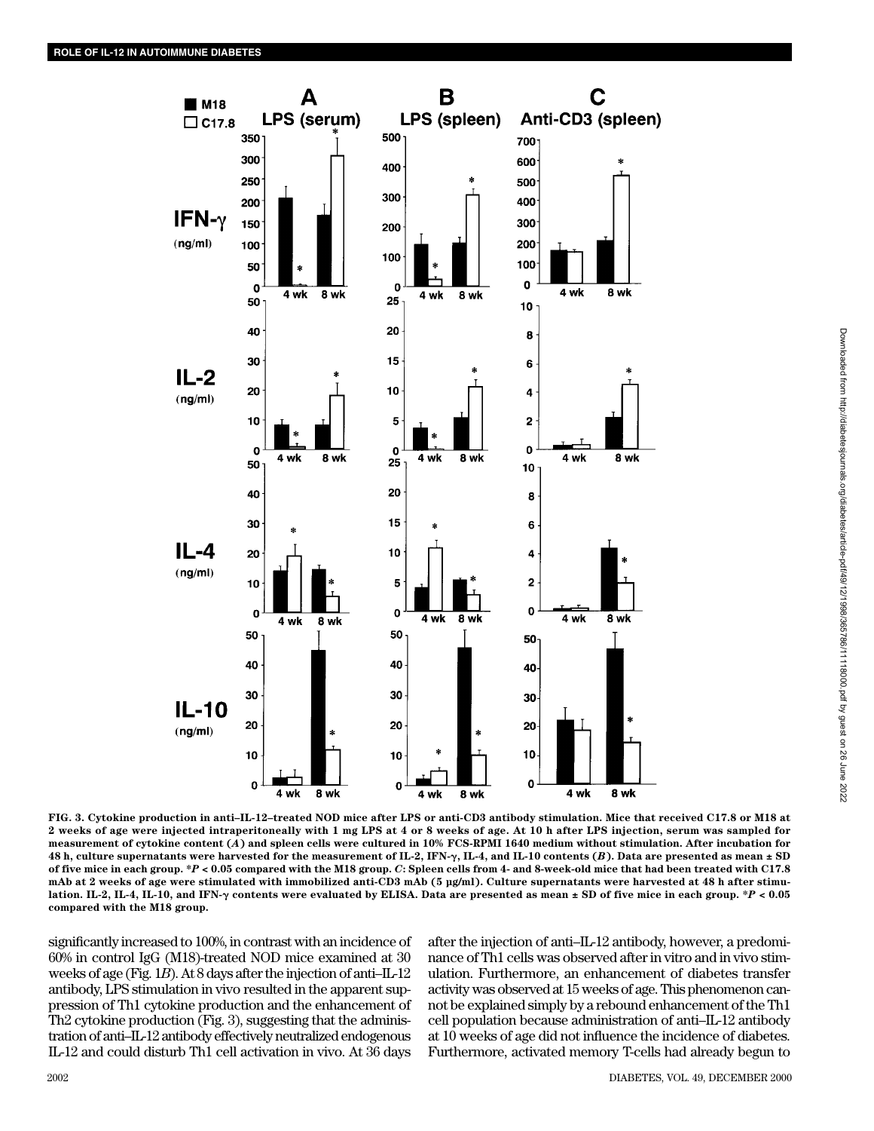

Downloaded from http://diabetesjournals.org/diabetes/article-pdf/49/12/1998/365786/11118000.pdf by guest on 26 June 2022 Downloaded from http://diabetesjournals.org/diabetes/article-pdf/49/12/1998/365786/11118000.pdf by guest on 26 June 2022

**FIG. 3. Cytokine production in anti–IL-12–treated NOD mice after LPS or anti-CD3 antibody stimulation. Mice that received C17.8 or M18 at 2 weeks of age were injected intraperitoneally with 1 mg LPS at 4 or 8 weeks of age. At 10 h after LPS injection, serum was sampled for measurement of cytokine content (***A***) and spleen cells were cultured in 10% FCS-RPMI 1640 medium without stimulation. After incubation for 48 h, culture supernatants were harvested for the measurement of IL-2, IFN-**-**, IL-4, and IL-10 contents (***B***). Data are presented as mean ± SD of five mice in each group. \****P* **< 0.05 compared with the M18 group.** *C***: Spleen cells from 4- and 8-week-old mice that had been treated with C17.8 mAb at 2 weeks of age were stimulated with immobilized anti-CD3 mAb (5 µg/ml). Culture supernatants were harvested at 48 h after stimulation. IL-2, IL-4, IL-10, and IFN-**- **contents were evaluated by ELISA. Data are presented as mean ± SD of five mice in each group. \****P* **< 0.05 compared with the M18 group.**

significantly increased to 100%, in contrast with an incidence of 60% in control IgG (M18)-treated NOD mice examined at 30 weeks of age (Fig. 1*B*). At 8 days after the injection of anti–IL-12 antibody, LPS stimulation in vivo resulted in the apparent suppression of Th1 cytokine production and the enhancement of Th2 cytokine production (Fig. 3), suggesting that the administration of anti–IL-12 antibody effectively neutralized endogenous IL-12 and could disturb Th1 cell activation in vivo. At 36 days after the injection of anti–IL-12 antibody, however, a predominance of Th1 cells was observed after in vitro and in vivo stimulation. Furthermore, an enhancement of diabetes transfer activity was observed at 15 weeks of age. This phenomenon cannot be explained simply by a rebound enhancement of the Th1 cell population because administration of anti–IL-12 antibody at 10 weeks of age did not influence the incidence of diabetes. Furthermore, activated memory T-cells had already begun to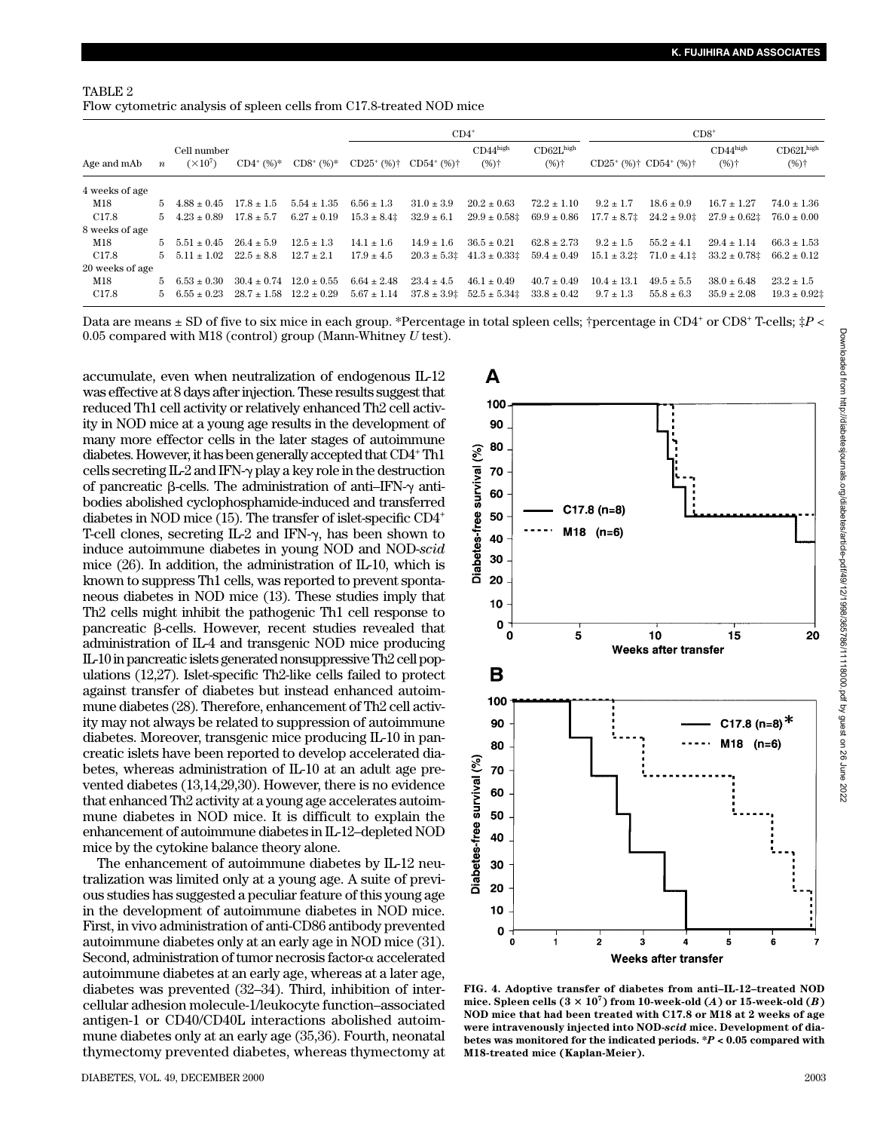| TABLE 2                                                              |  |
|----------------------------------------------------------------------|--|
| Flow cytometric analysis of spleen cells from C17.8-treated NOD mice |  |

|                   | $\boldsymbol{n}$ | Cell number<br>$(\times 10^7)$ | $CD4^+(%)^*$                    | $CD8^+$ (%)*    | $CD4^*$                   |                           |                                              | $CD8+$                                      |                                                     |                      |                                 |                                    |
|-------------------|------------------|--------------------------------|---------------------------------|-----------------|---------------------------|---------------------------|----------------------------------------------|---------------------------------------------|-----------------------------------------------------|----------------------|---------------------------------|------------------------------------|
| Age and mAb       |                  |                                |                                 |                 | $CD25^+$ (%) <sup>+</sup> | $CD54^+$ (%) <sup>+</sup> | $CD44$ high<br>$(%)$ <sup>+</sup>            | CD62L <sup>high</sup><br>$(%)$ <sup>+</sup> | $CD25^+$ (%) <sup>†</sup> $CD54^+$ (%) <sup>†</sup> |                      | $CD44^{\text{high}}$<br>$(%)^+$ | $CD62L$ high<br>$(%)$ <sup>+</sup> |
| 4 weeks of age    |                  |                                |                                 |                 |                           |                           |                                              |                                             |                                                     |                      |                                 |                                    |
| M18               | 5.               | $4.88 + 0.45$                  | $17.8 + 1.5$                    | $5.54 + 1.35$   | $6.56 + 1.3$              | $31.0 + 3.9$              | $20.2 + 0.63$                                | $72.2 + 1.10$                               | $9.2 \pm 1.7$                                       | $18.6 \pm 0.9$       | $16.7 + 1.27$                   | $74.0 + 1.36$                      |
| C <sub>17.8</sub> | 5.               | $4.23 + 0.89$                  | $17.8 \pm 5.7$                  | $6.27 \pm 0.19$ | $15.3 \pm 8.4$            | $32.9 \pm 6.1$            | $29.9 \pm 0.58$                              | $69.9 \pm 0.86$                             | $17.7 \pm 8.7$                                      | $24.2 \pm 9.01$      | $27.9 \pm 0.62$                 | $76.0 \pm 0.00$                    |
| 8 weeks of age    |                  |                                |                                 |                 |                           |                           |                                              |                                             |                                                     |                      |                                 |                                    |
| M18               | 5.               | $5.51 + 0.45$                  | $26.4 + 5.9$                    | $12.5 + 1.3$    | $14.1 + 1.6$              | $14.9 + 1.6$              | $36.5 + 0.21$                                | $62.8 \pm 2.73$                             | $9.2 \pm 1.5$                                       | $55.2 + 4.1$         | $29.4 + 1.14$                   | $66.3 + 1.53$                      |
| C17.8             | 5.               | $5.11 + 1.02$                  | $22.5 + 8.8$                    | $12.7 + 2.1$    | $17.9 \pm 4.5$            |                           | $20.3 \pm 5.3$ $\pm 41.3 \pm 0.33$ $\pm 1.3$ | $59.4 \pm 0.49$                             | $15.1 \pm 3.2^{\ddagger}$                           | $71.0 \pm 4.1^{\pm}$ | $33.2 \pm 0.78$                 | $66.2 \pm 0.12$                    |
| 20 weeks of age   |                  |                                |                                 |                 |                           |                           |                                              |                                             |                                                     |                      |                                 |                                    |
| M18               | 5.               | $6.53 + 0.30$                  | $30.4 \pm 0.74$                 | $12.0 + 0.55$   | $6.64 \pm 2.48$           | $23.4 + 4.5$              | $46.1 + 0.49$                                | $40.7 + 0.49$                               | $10.4 + 13.1$                                       | $49.5 + 5.5$         | $38.0 + 6.48$                   | $23.2 \pm 1.5$                     |
| C <sub>17.8</sub> | 5.               | $6.55 + 0.23$                  | $28.7 \pm 1.58$ $12.2 \pm 0.29$ |                 | $5.67 \pm 1.14$           | $37.8 \pm 3.9$            | $52.5 \pm 5.34^{\pm}$                        | $33.8 \pm 0.42$                             | $9.7 \pm 1.3$                                       | $55.8 \pm 6.3$       | $35.9 \pm 2.08$                 | $19.3 \pm 0.92$                    |

Data are means  $\pm$  SD of five to six mice in each group. \*Percentage in total spleen cells; †percentage in CD4<sup>+</sup> or CD8<sup>+</sup> T-cells; ‡*P* < 0.05 compared with M18 (control) group (Mann-Whitney *U* test).

accumulate, even when neutralization of endogenous IL-12 was effective at 8 days after injection. These results suggest that reduced Th1 cell activity or relatively enhanced Th2 cell activity in NOD mice at a young age results in the development of many more effector cells in the later stages of autoimmune diabetes. However, it has been generally accepted that CD4+Th1 cells secreting IL-2 and IFN- $\gamma$  play a key role in the destruction of pancreatic  $\beta$ -cells. The administration of anti-IFN- $\gamma$  antibodies abolished cyclophosphamide-induced and transferred diabetes in NOD mice (15). The transfer of islet-specific CD4+ T-cell clones, secreting  $IL-2$  and IFN- $\gamma$ , has been shown to induce autoimmune diabetes in young NOD and NOD-*scid* mice (26). In addition, the administration of IL-10, which is known to suppress Th1 cells, was reported to prevent spontaneous diabetes in NOD mice (13). These studies imply that Th2 cells might inhibit the pathogenic Th1 cell response to pancreatic  $\beta$ -cells. However, recent studies revealed that administration of IL-4 and transgenic NOD mice producing IL-10 in pancreatic islets generated nonsuppressive Th2 cell populations (12,27). Islet-specific Th2-like cells failed to protect against transfer of diabetes but instead enhanced autoimmune diabetes (28). Therefore, enhancement of Th2 cell activity may not always be related to suppression of autoimmune diabetes. Moreover, transgenic mice producing IL-10 in pancreatic islets have been reported to develop accelerated diabetes, whereas administration of IL-10 at an adult age prevented diabetes (13,14,29,30). However, there is no evidence that enhanced Th2 activity at a young age accelerates autoimmune diabetes in NOD mice. It is difficult to explain the enhancement of autoimmune diabetes in IL-12–depleted NOD mice by the cytokine balance theory alone.

The enhancement of autoimmune diabetes by IL-12 neutralization was limited only at a young age. A suite of previous studies has suggested a peculiar feature of this young age in the development of autoimmune diabetes in NOD mice. First, in vivo administration of anti-CD86 antibody prevented autoimmune diabetes only at an early age in NOD mice (31). Second, administration of tumor necrosis factor- $\alpha$  accelerated autoimmune diabetes at an early age, whereas at a later age, diabetes was prevented (32–34). Third, inhibition of intercellular adhesion molecule-1/leukocyte function–associated antigen-1 or CD40/CD40L interactions abolished autoimmune diabetes only at an early age (35,36). Fourth, neonatal thymectomy prevented diabetes, whereas thymectomy at



**FIG. 4. Adoptive transfer of diabetes from anti–IL-12–treated NOD** mice. Spleen cells  $(3 \times 10^7)$  from 10-week-old  $(A)$  or 15-week-old  $(B)$ **NOD mice that had been treated with C17.8 or M18 at 2 weeks of age were intravenously injected into NOD-***scid* **mice. Development of diabetes was monitored for the indicated periods. \****P* **< 0.05 compared with M18-treated mice (Kaplan-Meier).**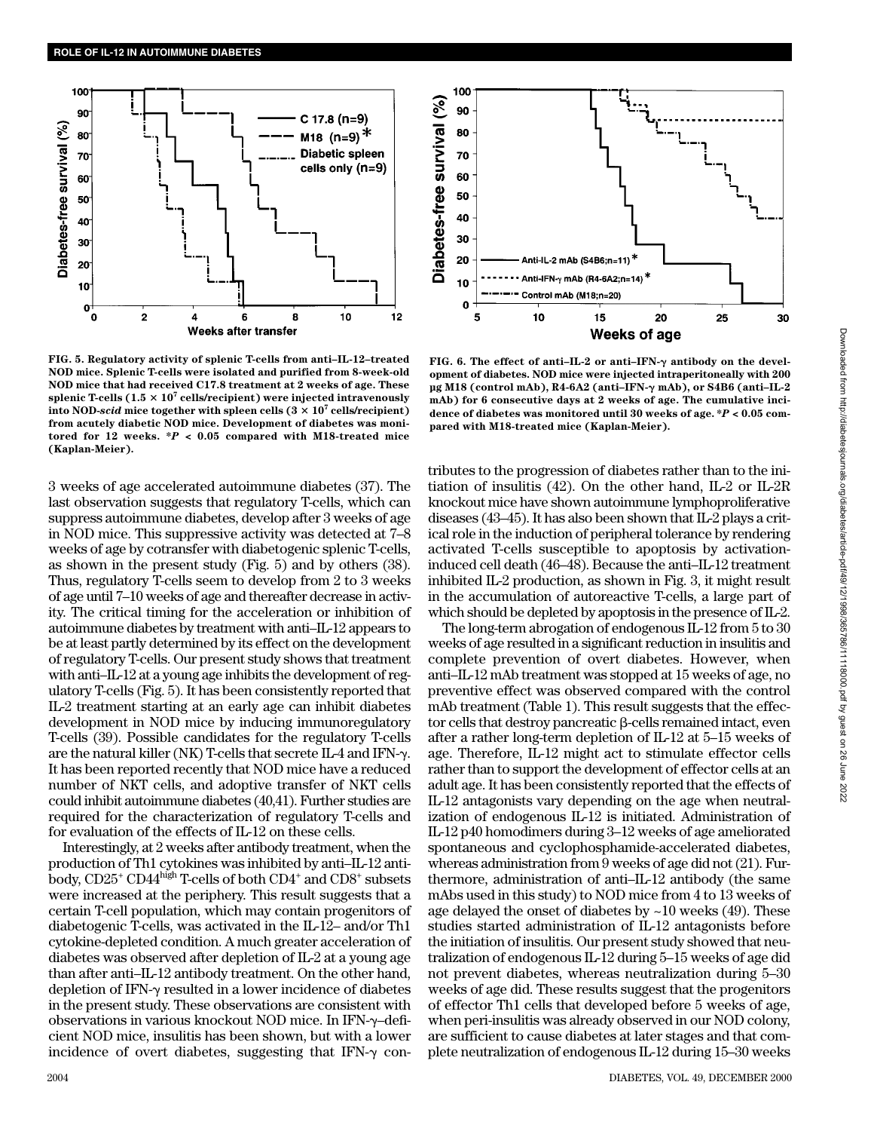

**FIG. 5. Regulatory activity of splenic T-cells from anti–IL-12–treated NOD mice. Splenic T-cells were isolated and purified from 8-week-old NOD mice that had received C17.8 treatment at 2 weeks of age. These** splenic T-cells  $(1.5 \times 10^7 \text{ cells/recipient})$  were injected intravenously **into NOD-***scid* **mice together with spleen cells**  $(3 \times 10^7 \text{ cells/recipient})$ **from acutely diabetic NOD mice. Development of diabetes was monitored for 12 weeks. \****P* **< 0.05 compared with M18-treated mice (Kaplan-Meier).**

3 weeks of age accelerated autoimmune diabetes (37). The last observation suggests that regulatory T-cells, which can suppress autoimmune diabetes, develop after 3 weeks of age in NOD mice. This suppressive activity was detected at 7–8 weeks of age by cotransfer with diabetogenic splenic T-cells, as shown in the present study (Fig. 5) and by others (38). Thus, regulatory T-cells seem to develop from 2 to 3 weeks of age until 7–10 weeks of age and thereafter decrease in activity. The critical timing for the acceleration or inhibition of autoimmune diabetes by treatment with anti–IL-12 appears to be at least partly determined by its effect on the development of regulatory T-cells. Our present study shows that treatment with anti–IL-12 at a young age inhibits the development of regulatory T-cells (Fig. 5). It has been consistently reported that IL-2 treatment starting at an early age can inhibit diabetes development in NOD mice by inducing immunoregulatory T-cells (39). Possible candidates for the regulatory T-cells are the natural killer (NK) T-cells that secrete IL-4 and IFN- $\gamma$ . It has been reported recently that NOD mice have a reduced number of NKT cells, and adoptive transfer of NKT cells could inhibit autoimmune diabetes (40,41). Further studies are required for the characterization of regulatory T-cells and for evaluation of the effects of IL-12 on these cells.

Interestingly, at 2 weeks after antibody treatment, when the production of Th1 cytokines was inhibited by anti–IL-12 antibody, CD25<sup>+</sup> CD44<sup>high</sup> T-cells of both CD4<sup>+</sup> and CD8<sup>+</sup> subsets were increased at the periphery. This result suggests that a certain T-cell population, which may contain progenitors of diabetogenic T-cells, was activated in the IL-12– and/or Th1 cytokine-depleted condition. A much greater acceleration of diabetes was observed after depletion of IL-2 at a young age than after anti–IL-12 antibody treatment. On the other hand, depletion of IFN- $\gamma$  resulted in a lower incidence of diabetes in the present study. These observations are consistent with observations in various knockout NOD mice. In IFN-–deficient NOD mice, insulitis has been shown, but with a lower incidence of overt diabetes, suggesting that IFN- $\gamma$  con-



**FIG. 6. The effect of anti-IL-2 or anti-IFN-γ antibody on the development of diabetes. NOD mice were injected intraperitoneally with 200 µg M18 (control mAb), R4-6A2 (anti–IFN-**- **mAb), or S4B6 (anti–IL-2 mAb) for 6 consecutive days at 2 weeks of age. The cumulative incidence of diabetes was monitored until 30 weeks of age. \****P* **< 0.05 compared with M18-treated mice (Kaplan-Meier).**

tributes to the progression of diabetes rather than to the initiation of insulitis (42). On the other hand, IL-2 or IL-2R knockout mice have shown autoimmune lymphoproliferative diseases (43–45). It has also been shown that IL-2 plays a critical role in the induction of peripheral tolerance by rendering activated T-cells susceptible to apoptosis by activationinduced cell death (46–48). Because the anti–IL-12 treatment inhibited IL-2 production, as shown in Fig. 3, it might result in the accumulation of autoreactive T-cells, a large part of which should be depleted by apoptosis in the presence of IL-2.

The long-term abrogation of endogenous IL-12 from 5 to 30 weeks of age resulted in a significant reduction in insulitis and complete prevention of overt diabetes. However, when anti–IL-12 mAb treatment was stopped at 15 weeks of age, no preventive effect was observed compared with the control mAb treatment (Table 1). This result suggests that the effec- $\operatorname{tor}$  cells that destroy pancreatic  $\beta$ -cells remained intact, even after a rather long-term depletion of IL-12 at 5–15 weeks of age. Therefore, IL-12 might act to stimulate effector cells rather than to support the development of effector cells at an adult age. It has been consistently reported that the effects of IL-12 antagonists vary depending on the age when neutralization of endogenous IL-12 is initiated. Administration of IL-12 p40 homodimers during 3–12 weeks of age ameliorated spontaneous and cyclophosphamide-accelerated diabetes, whereas administration from 9 weeks of age did not (21). Furthermore, administration of anti–IL-12 antibody (the same mAbs used in this study) to NOD mice from 4 to 13 weeks of age delayed the onset of diabetes by ~10 weeks (49). These studies started administration of IL-12 antagonists before the initiation of insulitis. Our present study showed that neutralization of endogenous IL-12 during 5–15 weeks of age did not prevent diabetes, whereas neutralization during 5–30 weeks of age did. These results suggest that the progenitors of effector Th1 cells that developed before 5 weeks of age, when peri-insulitis was already observed in our NOD colony, are sufficient to cause diabetes at later stages and that complete neutralization of endogenous IL-12 during 15–30 weeks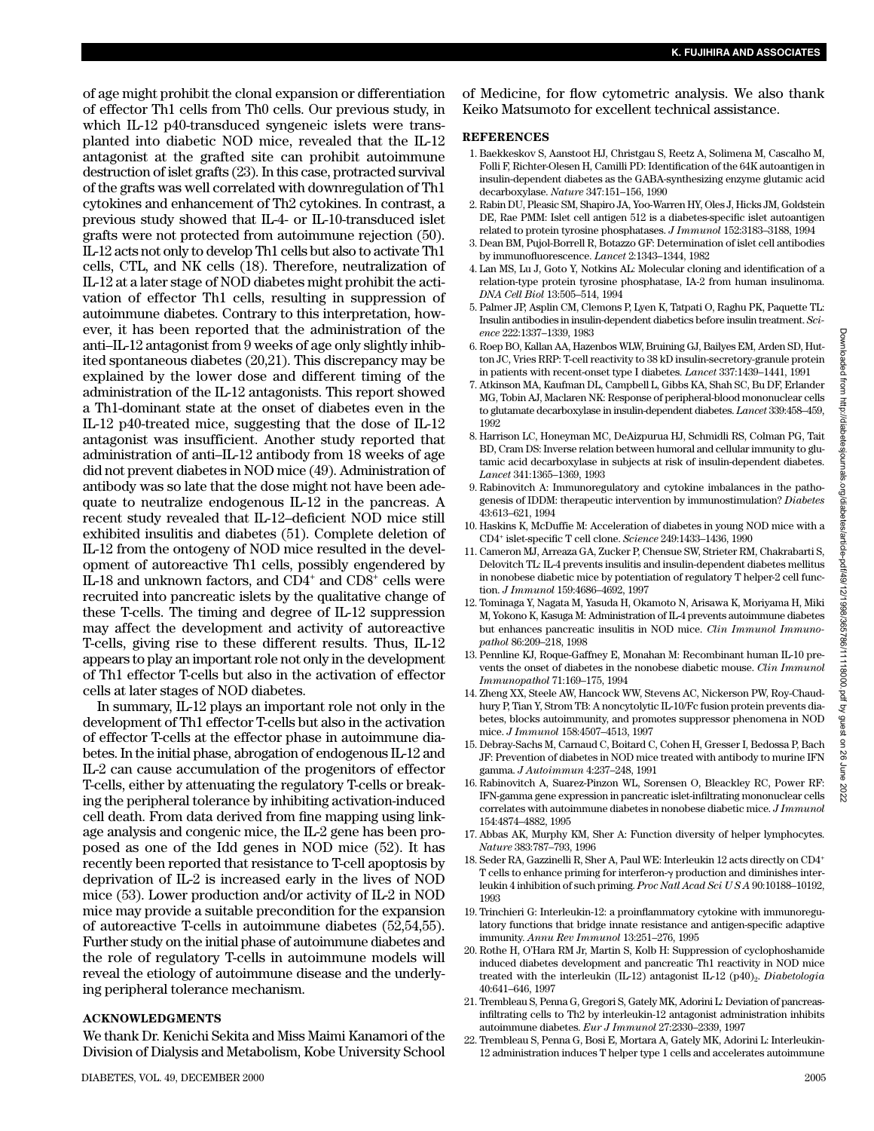2022

of age might prohibit the clonal expansion or differentiation of effector Th1 cells from Th0 cells. Our previous study, in which IL-12 p40-transduced syngeneic islets were transplanted into diabetic NOD mice, revealed that the IL-12 antagonist at the grafted site can prohibit autoimmune destruction of islet grafts (23). In this case, protracted survival of the grafts was well correlated with downregulation of Th1 cytokines and enhancement of Th2 cytokines. In contrast, a previous study showed that IL-4- or IL-10-transduced islet grafts were not protected from autoimmune rejection (50). IL-12 acts not only to develop Th1 cells but also to activate Th1 cells, CTL, and NK cells (18). Therefore, neutralization of IL-12 at a later stage of NOD diabetes might prohibit the activation of effector Th1 cells, resulting in suppression of autoimmune diabetes. Contrary to this interpretation, however, it has been reported that the administration of the anti–IL-12 antagonist from 9 weeks of age only slightly inhibited spontaneous diabetes (20,21). This discrepancy may be explained by the lower dose and different timing of the administration of the IL-12 antagonists. This report showed a Th1-dominant state at the onset of diabetes even in the IL-12 p40-treated mice, suggesting that the dose of IL-12 antagonist was insufficient. Another study reported that administration of anti–IL-12 antibody from 18 weeks of age did not prevent diabetes in NOD mice (49). Administration of antibody was so late that the dose might not have been adequate to neutralize endogenous IL-12 in the pancreas. A recent study revealed that IL-12–deficient NOD mice still exhibited insulitis and diabetes (51). Complete deletion of IL-12 from the ontogeny of NOD mice resulted in the development of autoreactive Th1 cells, possibly engendered by IL-18 and unknown factors, and CD4+ and CD8+ cells were recruited into pancreatic islets by the qualitative change of these T-cells. The timing and degree of IL-12 suppression may affect the development and activity of autoreactive T-cells, giving rise to these different results. Thus, IL-12 appears to play an important role not only in the development of Th1 effector T-cells but also in the activation of effector cells at later stages of NOD diabetes.

In summary, IL-12 plays an important role not only in the development of Th1 effector T-cells but also in the activation of effector T-cells at the effector phase in autoimmune diabetes. In the initial phase, abrogation of endogenous IL-12 and IL-2 can cause accumulation of the progenitors of effector T-cells, either by attenuating the regulatory T-cells or breaking the peripheral tolerance by inhibiting activation-induced cell death. From data derived from fine mapping using linkage analysis and congenic mice, the IL-2 gene has been proposed as one of the Idd genes in NOD mice (52). It has recently been reported that resistance to T-cell apoptosis by deprivation of IL-2 is increased early in the lives of NOD mice (53). Lower production and/or activity of IL-2 in NOD mice may provide a suitable precondition for the expansion of autoreactive T-cells in autoimmune diabetes (52,54,55). Further study on the initial phase of autoimmune diabetes and the role of regulatory T-cells in autoimmune models will reveal the etiology of autoimmune disease and the underlying peripheral tolerance mechanism.

### **ACKNOWLEDGMENTS**

We thank Dr. Kenichi Sekita and Miss Maimi Kanamori of the Division of Dialysis and Metabolism, Kobe University School of Medicine, for flow cytometric analysis. We also thank Keiko Matsumoto for excellent technical assistance.

## **REFERENCES**

- 1. Baekkeskov S, Aanstoot HJ, Christgau S, Reetz A, Solimena M, Cascalho M, Folli F, Richter-Olesen H, Camilli PD: Identification of the 64K autoantigen in insulin-dependent diabetes as the GABA-synthesizing enzyme glutamic acid decarboxylase. *Nature* 347:151–156, 1990
- 2. Rabin DU, Pleasic SM, Shapiro JA, Yoo-Warren HY, Oles J, Hicks JM, Goldstein DE, Rae PMM: Islet cell antigen 512 is a diabetes-specific islet autoantigen related to protein tyrosine phosphatases. *J Immunol* 152:3183–3188, 1994
- 3. Dean BM, Pujol-Borrell R, Botazzo GF: Determination of islet cell antibodies by immunofluorescence. *Lancet* 2:1343–1344, 1982
- 4. Lan MS, Lu J, Goto Y, Notkins AL: Molecular cloning and identification of a relation-type protein tyrosine phosphatase, IA-2 from human insulinoma. *DNA Cell Biol* 13:505–514, 1994
- 5. Palmer JP, Asplin CM, Clemons P, Lyen K, Tatpati O, Raghu PK, Paquette TL: Insulin antibodies in insulin-dependent diabetics before insulin treatment. *Science* 222:1337–1339, 1983
- 6. Roep BO, Kallan AA, Hazenbos WLW, Bruining GJ, Bailyes EM, Arden SD, Hutton JC, Vries RRP: T-cell reactivity to 38 kD insulin-secretory-granule protein in patients with recent-onset type I diabetes. *Lancet* 337:1439-1441, 1991
- 7. Atkinson MA, Kaufman DL, Campbell L, Gibbs KA, Shah SC, Bu DF, Erlander MG, Tobin AJ, Maclaren NK: Response of peripheral-blood mononuclear cells to glutamate decarboxylase in insulin-dependent diabetes. *Lancet* 339:458–459, 1992
- 8. Harrison LC, Honeyman MC, DeAizpurua HJ, Schmidli RS, Colman PG, Tait BD, Cram DS: Inverse relation between humoral and cellular immunity to glutamic acid decarboxylase in subjects at risk of insulin-dependent diabetes. *Lancet* 341:1365–1369, 1993
- 9. Rabinovitch A: Immunoregulatory and cytokine imbalances in the pathogenesis of IDDM: therapeutic intervention by immunostimulation? *Diabetes* 43:613–621, 1994
- 10. Haskins K, McDuffie M: Acceleration of diabetes in young NOD mice with a CD4+ islet-specific T cell clone. *Science* 249:1433–1436, 1990
- 11. Cameron MJ, Arreaza GA, Zucker P, Chensue SW, Strieter RM, Chakrabarti S, Delovitch TL: IL-4 prevents insulitis and insulin-dependent diabetes mellitus in nonobese diabetic mice by potentiation of regulatory T helper-2 cell function. *J Immunol* 159:4686–4692, 1997
- 12. Tominaga Y, Nagata M, Yasuda H, Okamoto N, Arisawa K, Moriyama H, Miki M, Yokono K, Kasuga M: Administration of IL-4 prevents autoimmune diabetes but enhances pancreatic insulitis in NOD mice. *Clin Immunol Immunopathol* 86:209–218, 1998
- 13. Pennline KJ, Roque-Gaffney E, Monahan M: Recombinant human IL-10 prevents the onset of diabetes in the nonobese diabetic mouse. *Clin Immunol Immunopathol* 71:169–175, 1994
- 14. Zheng XX, Steele AW, Hancock WW, Stevens AC, Nickerson PW, Roy-Chaudhury P, Tian Y, Strom TB: A noncytolytic IL-10/Fc fusion protein prevents diabetes, blocks autoimmunity, and promotes suppressor phenomena in NOD mice. *J Immunol* 158:4507–4513, 1997
- 15. Debray-Sachs M, Carnaud C, Boitard C, Cohen H, Gresser I, Bedossa P, Bach JF: Prevention of diabetes in NOD mice treated with antibody to murine IFN gamma. *J Autoimmun* 4:237–248, 1991
- 16. Rabinovitch A, Suarez-Pinzon WL, Sorensen O, Bleackley RC, Power RF: IFN-gamma gene expression in pancreatic islet-infiltrating mononuclear cells correlates with autoimmune diabetes in nonobese diabetic mice. *J Immunol* 154:4874–4882, 1995
- 17. Abbas AK, Murphy KM, Sher A: Function diversity of helper lymphocytes. *Nature* 383:787–793, 1996
- 18. Seder RA, Gazzinelli R, Sher A, Paul WE: Interleukin 12 acts directly on CD4+ T cells to enhance priming for interferon- $\gamma$  production and diminishes interleukin 4 inhibition of such priming. *Proc Natl Acad Sci U S A* 90:10188–10192, 1993
- 19. Trinchieri G: Interleukin-12: a proinflammatory cytokine with immunoregulatory functions that bridge innate resistance and antigen-specific adaptive immunity. *Annu Rev Immunol* 13:251–276, 1995
- 20. Rothe H, O'Hara RM Jr, Martin S, Kolb H: Suppression of cyclophoshamide induced diabetes development and pancreatic Th1 reactivity in NOD mice treated with the interleukin (IL-12) antagonist IL-12 (p40)<sub>2</sub>. *Diabetologia* 40:641–646, 1997
- 21. Trembleau S, Penna G, Gregori S, Gately MK, Adorini L: Deviation of pancreasinfiltrating cells to Th2 by interleukin-12 antagonist administration inhibits autoimmune diabetes. *Eur J Immunol* 27:2330–2339, 1997
- 22. Trembleau S, Penna G, Bosi E, Mortara A, Gately MK, Adorini L: Interleukin-12 administration induces T helper type 1 cells and accelerates autoimmune